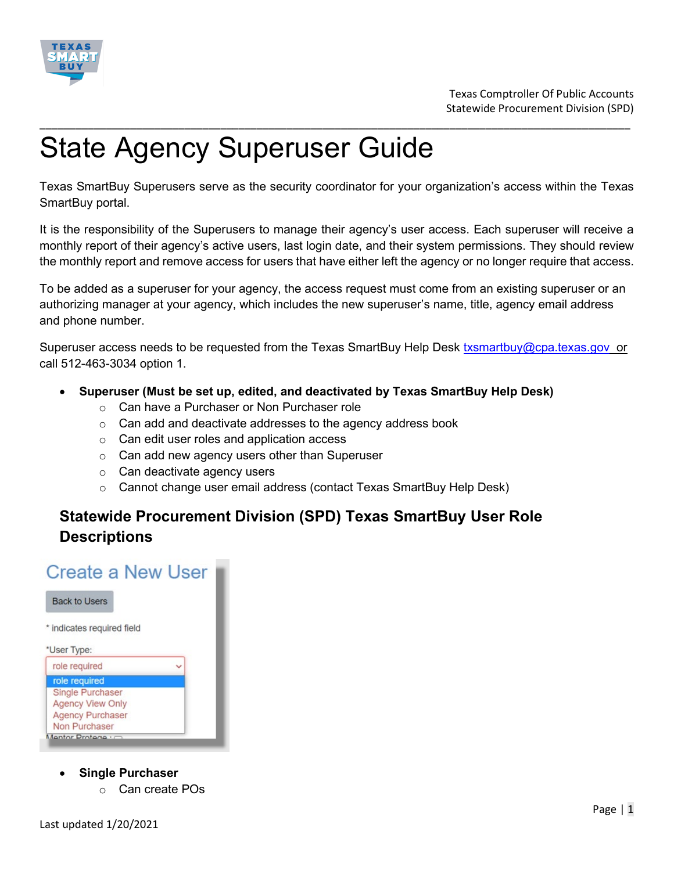

# State Agency Superuser Guide

Texas SmartBuy Superusers serve as the security coordinator for your organization's access within the Texas SmartBuy portal.

\_\_\_\_\_\_\_\_\_\_\_\_\_\_\_\_\_\_\_\_\_\_\_\_\_\_\_\_\_\_\_\_\_\_\_\_\_\_\_\_\_\_\_\_\_\_\_\_\_\_\_\_\_\_\_\_\_\_\_\_\_\_\_\_\_\_\_\_\_\_\_\_\_\_\_\_\_\_\_\_\_\_\_\_\_\_\_\_\_\_\_\_\_\_\_\_\_\_

It is the responsibility of the Superusers to manage their agency's user access. Each superuser will receive a monthly report of their agency's active users, last login date, and their system permissions. They should review the monthly report and remove access for users that have either left the agency or no longer require that access.

To be added as a superuser for your agency, the access request must come from an existing superuser or an authorizing manager at your agency, which includes the new superuser's name, title, agency email address and phone number.

Superuser access needs to be requested from the Texas SmartBuy Help Desk [txsmartbuy@cpa.texas.gov](mailto:txsmartbuy@cpa.texas.gov) or call 512-463-3034 option 1.

- **Superuser (Must be set up, edited, and deactivated by Texas SmartBuy Help Desk)**
	- o Can have a Purchaser or Non Purchaser role
	- o Can add and deactivate addresses to the agency address book
	- o Can edit user roles and application access
	- o Can add new agency users other than Superuser
	- o Can deactivate agency users
	- $\circ$  Cannot change user email address (contact Texas SmartBuy Help Desk)

## **Statewide Procurement Division (SPD) Texas SmartBuy User Role Descriptions**

# **Create a New User**



- **Single Purchaser**
	- o Can create POs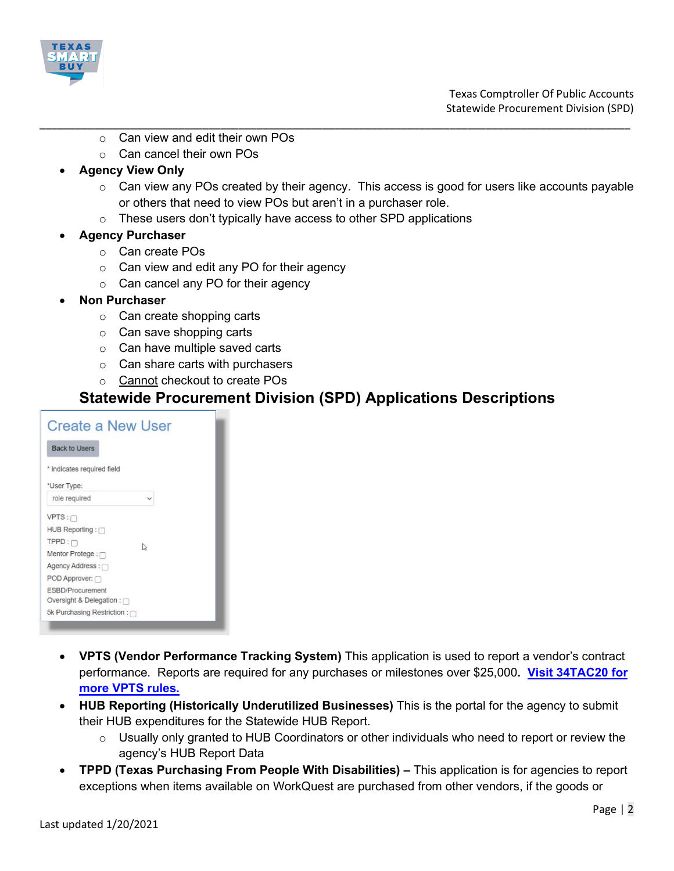

- \_\_\_\_\_\_\_\_\_\_\_\_\_\_\_\_\_\_\_\_\_\_\_\_\_\_\_\_\_\_\_\_\_\_\_\_\_\_\_\_\_\_\_\_\_\_\_\_\_\_\_\_\_\_\_\_\_\_\_\_\_\_\_\_\_\_\_\_\_\_\_\_\_\_\_\_\_\_\_\_\_\_\_\_\_\_\_\_\_\_\_\_\_\_\_\_\_\_ o Can view and edit their own POs
	- o Can cancel their own POs

### • **Agency View Only**

- $\circ$  Can view any POs created by their agency. This access is good for users like accounts payable or others that need to view POs but aren't in a purchaser role.
- $\circ$  These users don't typically have access to other SPD applications
- **Agency Purchaser** 
	- o Can create POs
	- o Can view and edit any PO for their agency
	- o Can cancel any PO for their agency
- **Non Purchaser**
	- o Can create shopping carts
	- o Can save shopping carts
	- o Can have multiple saved carts
	- $\circ$  Can share carts with purchasers
	- o Cannot checkout to create POs

### **Statewide Procurement Division (SPD) Applications Descriptions**

| Create a New User               |   |
|---------------------------------|---|
| <b>Back to Users</b>            |   |
| * indicates required field      |   |
| *User Type:                     |   |
| role required                   |   |
| $VPTS: \Box$                    |   |
| HUB Reporting:                  |   |
| $TPPD: \Box$                    | ₿ |
| Mentor Protege: $\Box$          |   |
| Agency Address:                 |   |
| POD Approver:                   |   |
| ESBD/Procurement                |   |
| Oversight & Delegation : $\cap$ |   |
| 5k Purchasing Restriction : □   |   |
|                                 |   |

- **VPTS (Vendor Performance Tracking System)** This application is used to report a vendor's contract performance. Reports are required for any purchases or milestones over \$25,000**. [Visit 34TAC20 for](https://texreg.sos.state.tx.us/public/readtac%24ext.TacPage?sl=R&app=9&p_dir=&p_rloc=&p_tloc=&p_ploc=&pg=1&p_tac=&ti=34&pt=1&ch=20&rl=509)  [more VPTS rules.](https://texreg.sos.state.tx.us/public/readtac%24ext.TacPage?sl=R&app=9&p_dir=&p_rloc=&p_tloc=&p_ploc=&pg=1&p_tac=&ti=34&pt=1&ch=20&rl=509)**
- **HUB Reporting (Historically Underutilized Businesses)** This is the portal for the agency to submit their HUB expenditures for the Statewide HUB Report.
	- o Usually only granted to HUB Coordinators or other individuals who need to report or review the agency's HUB Report Data
- **TPPD (Texas Purchasing From People With Disabilities) –** This application is for agencies to report exceptions when items available on WorkQuest are purchased from other vendors, if the goods or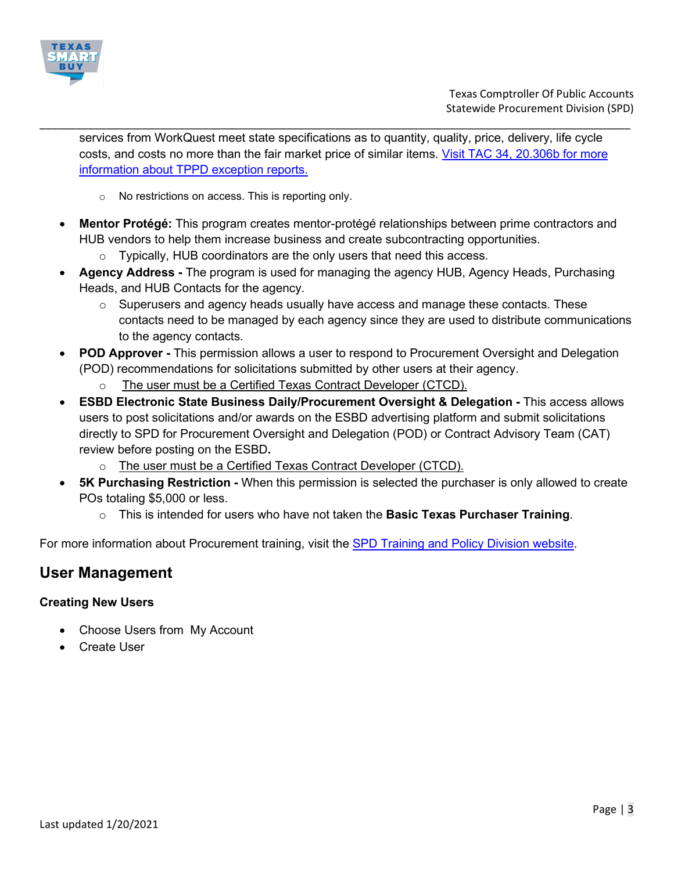

services from WorkQuest meet state specifications as to quantity, quality, price, delivery, life cycle costs, and costs no more than the fair market price of similar items. [Visit TAC 34, 20.306b for more](https://texreg.sos.state.tx.us/public/readtac$ext.TacPage?sl=R&app=9&p_dir=&p_rloc=&p_tloc=&p_ploc=&pg=1&p_tac=&ti=34&pt=1&ch=20&rl=306)  [information about TPPD exception reports.](https://texreg.sos.state.tx.us/public/readtac$ext.TacPage?sl=R&app=9&p_dir=&p_rloc=&p_tloc=&p_ploc=&pg=1&p_tac=&ti=34&pt=1&ch=20&rl=306)

\_\_\_\_\_\_\_\_\_\_\_\_\_\_\_\_\_\_\_\_\_\_\_\_\_\_\_\_\_\_\_\_\_\_\_\_\_\_\_\_\_\_\_\_\_\_\_\_\_\_\_\_\_\_\_\_\_\_\_\_\_\_\_\_\_\_\_\_\_\_\_\_\_\_\_\_\_\_\_\_\_\_\_\_\_\_\_\_\_\_\_\_\_\_\_\_\_\_

- o No restrictions on access. This is reporting only.
- **Mentor Protégé:** This program creates mentor-protégé relationships between prime contractors and HUB vendors to help them increase business and create subcontracting opportunities.
	- $\circ$  Typically, HUB coordinators are the only users that need this access.
- **Agency Address -** The program is used for managing the agency HUB, Agency Heads, Purchasing Heads, and HUB Contacts for the agency.
	- $\circ$  Superusers and agency heads usually have access and manage these contacts. These contacts need to be managed by each agency since they are used to distribute communications to the agency contacts.
- **POD Approver -** This permission allows a user to respond to Procurement Oversight and Delegation (POD) recommendations for solicitations submitted by other users at their agency.
	- The user must be a Certified Texas Contract Developer (CTCD).
- **ESBD Electronic State Business Daily/Procurement Oversight & Delegation -** This access allows users to post solicitations and/or awards on the ESBD advertising platform and submit solicitations directly to SPD for Procurement Oversight and Delegation (POD) or Contract Advisory Team (CAT) review before posting on the ESBD**.** 
	- o The user must be a Certified Texas Contract Developer (CTCD).
- **5K Purchasing Restriction -** When this permission is selected the purchaser is only allowed to create POs totaling \$5,000 or less.
	- o This is intended for users who have not taken the **Basic Texas Purchaser Training**.

For more information about Procurement training, visit the [SPD Training and Policy Division website.](https://comptroller.texas.gov/purchasing/training/)

### **User Management**

### **Creating New Users**

- Choose Users from My Account
- Create User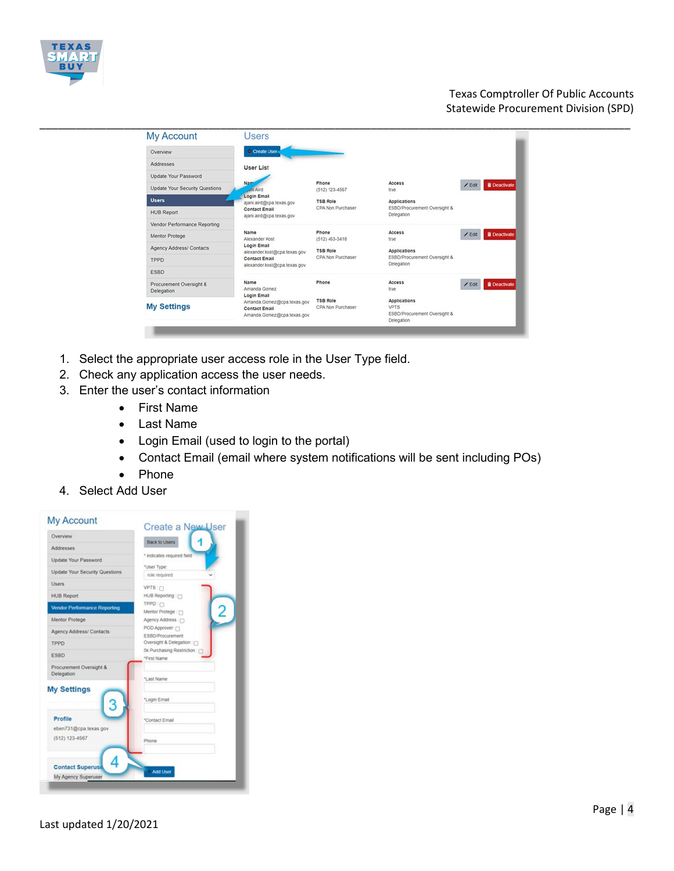

### Texas Comptroller Of Public Accounts Statewide Procurement Division (SPD)

| <b>My Account</b>                     | <b>Users</b>                                                                                        |                                      |                                                                                  |                                 |  |
|---------------------------------------|-----------------------------------------------------------------------------------------------------|--------------------------------------|----------------------------------------------------------------------------------|---------------------------------|--|
| Overview                              | Create User                                                                                         |                                      |                                                                                  |                                 |  |
| Addresses                             | <b>User List</b>                                                                                    |                                      |                                                                                  |                                 |  |
| Update Your Password                  |                                                                                                     |                                      |                                                                                  |                                 |  |
| <b>Update Your Security Questions</b> | Nam<br>uni Aird                                                                                     | Phone<br>$(512) 123 - 4567$          | Access<br>true                                                                   | <b>B</b> Deactivate<br>$/$ Edit |  |
| <b>Users</b>                          | Login Email<br>ajani.aird@cpa.texas.gov                                                             | <b>TSB Role</b>                      | <b>Applications</b>                                                              |                                 |  |
| <b>HUB Report</b>                     | <b>Contact Email</b><br>ajani.aird@cpa.texas.gov                                                    | CPA Non Purchaser                    | ESBD/Procurement Oversight &<br>Delegation                                       |                                 |  |
| Vendor Performance Reporting          |                                                                                                     |                                      |                                                                                  |                                 |  |
| Mentor Protege                        | Name<br>Alexander Kost                                                                              | Phone<br>$(512)$ 463-3418            | Access<br>true                                                                   | <b>B</b> Deactivate<br>$/$ Edit |  |
| Agency Address/ Contacts              | Login Email<br>alexander.kost@cpa.texas.gov<br><b>Contact Email</b><br>alexander.kost@cpa.texas.gov |                                      | <b>TSB Role</b>                                                                  | <b>Applications</b>             |  |
| TPPD                                  |                                                                                                     | CPA Non Purchaser                    | ESBD/Procurement Oversight &<br>Delegation                                       |                                 |  |
| <b>ESBD</b>                           |                                                                                                     |                                      |                                                                                  |                                 |  |
| Procurement Oversight &<br>Delegation | Name<br>Amanda Gomez<br>Login Email                                                                 | Phone                                | Access<br>true                                                                   | <b>B</b> Deactivate<br>$E$ dit  |  |
| <b>My Settings</b>                    | Amanda.Gomez@cpa.texas.gov<br><b>Contact Email</b><br>Amanda.Gomez@cpa.texas.gov                    | <b>TSB Role</b><br>CPA Non Purchaser | <b>Applications</b><br><b>VPTS</b><br>ESBD/Procurement Oversight &<br>Delegation |                                 |  |

- 1. Select the appropriate user access role in the User Type field.
- 2. Check any application access the user needs.
- 3. Enter the user's contact information
	- First Name
	- Last Name
	- Login Email (used to login to the portal)
	- Contact Email (email where system notifications will be sent including POs)
	- Phone
- 4. Select Add User

| Overview                              | <b>Back to Users</b>                            |
|---------------------------------------|-------------------------------------------------|
| Addresses                             |                                                 |
| Update Your Password                  | * indicates required field                      |
| Update Your Security Questions        | *User Type:<br>role required                    |
| <b>Users</b>                          | VPTS: 0                                         |
| <b>HUB Report</b>                     | HUB Reporting: (1)                              |
| <b>Vendor Performance Reporting</b>   | TPPD: 0<br>Ś<br>Mentor Protege : m              |
| Mentor Protege                        | Agency Address: 0                               |
| Agency Address/ Contacts              | POD Approver:                                   |
| TPPD                                  | ESBD/Procurement<br>Oversight & Delegation: [7] |
| <b>ESBD</b>                           | 5k Purchasing Restriction : r<br>*First Name    |
| Procurement Oversight &<br>Delegation | "Last Name                                      |
| <b>My Settings</b>                    | *Login Email                                    |
| Profile<br>eben731@cpa.texas.gov      | *Contact Email                                  |
| (512) 123-4567                        | Phone                                           |
| <b>Contact Superuse</b>               | Add User                                        |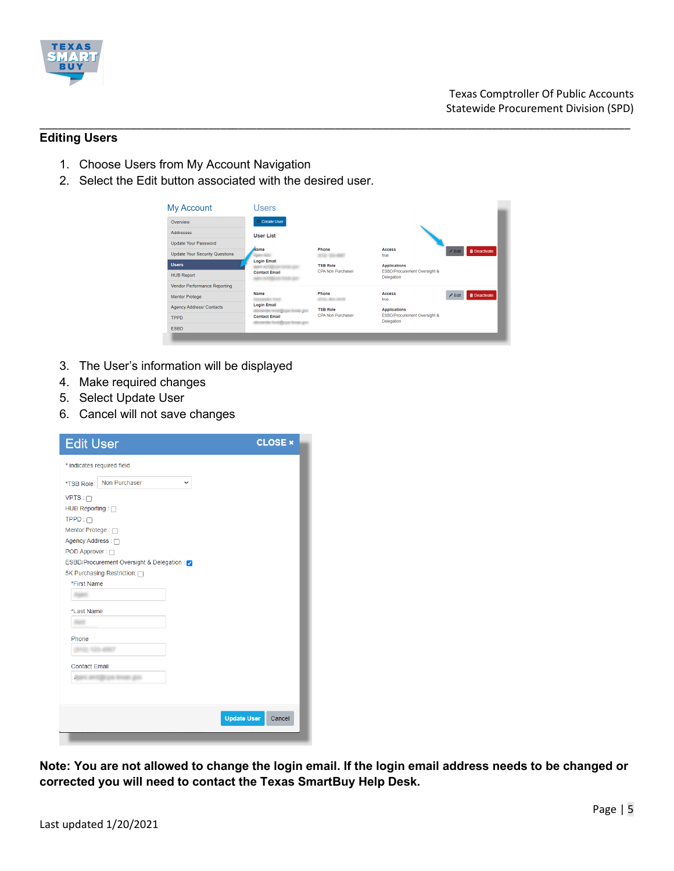

### **Editing Users**

- 1. Choose Users from My Account Navigation
- 2. Select the Edit button associated with the desired user.

| Overview                              | C Create User                 |                          |                                            |                                |
|---------------------------------------|-------------------------------|--------------------------|--------------------------------------------|--------------------------------|
| <b>Addresses</b>                      | <b>User List</b>              |                          |                                            |                                |
| <b>Update Your Password</b>           |                               |                          |                                            |                                |
| <b>Update Your Security Questions</b> | Name                          | Phone                    | <b>Access</b><br>true                      | <b>i</b> Deactivate<br>$/$ Edi |
| Users.                                | <b>Login Email</b>            | <b>TSB Role</b>          | <b>Applications</b>                        |                                |
| <b>HUB Report</b>                     | <b>Contact Email</b>          | <b>CPA Non Purchaser</b> | ESBD/Procurement Oversight &<br>Delegation |                                |
| Vendor Performance Reporting          |                               |                          |                                            |                                |
| <b>Mentor Protege</b>                 | <b>Name</b>                   | Phone                    | <b>Access</b><br>true                      | <b>Deactivate</b><br>$Z$ Edit  |
| <b>Agency Address/ Contacts</b>       | <b>Login Email</b>            | <b>TSB Role</b>          | <b>Applications</b>                        |                                |
| <b>TPPD</b>                           | <b>Contact Email</b>          | CPA Non Purchaser        | ESBD/Procurement Oversight &<br>Delegation |                                |
| <b>ESBD</b>                           | has beenfully our became once |                          |                                            |                                |

\_\_\_\_\_\_\_\_\_\_\_\_\_\_\_\_\_\_\_\_\_\_\_\_\_\_\_\_\_\_\_\_\_\_\_\_\_\_\_\_\_\_\_\_\_\_\_\_\_\_\_\_\_\_\_\_\_\_\_\_\_\_\_\_\_\_\_\_\_\_\_\_\_\_\_\_\_\_\_\_\_\_\_\_\_\_\_\_\_\_\_\_\_\_\_\_\_\_

- 3. The User's information will be displayed
- 4. Make required changes
- 5. Select Update User
- 6. Cancel will not save changes

| <b>Edit User</b>                            | <b>CLOSE ×</b>               |
|---------------------------------------------|------------------------------|
| * indicates required field                  |                              |
| Non Purchaser<br>$\checkmark$<br>*TSB Role: |                              |
| $VPTS: \Box$                                |                              |
| HUB Reporting : □                           |                              |
| $TPPD: \Box$                                |                              |
| Mentor Protege: 0                           |                              |
| Agency Address : □                          |                              |
| POD Approver: 0                             |                              |
| ESBD/Procurement Oversight & Delegation:    |                              |
| 5K Purchasing Restriction: n                |                              |
| *First Name                                 |                              |
|                                             |                              |
| *Last Name                                  |                              |
|                                             |                              |
| Phone                                       |                              |
|                                             |                              |
| <b>Contact Email</b>                        |                              |
| a                                           |                              |
|                                             |                              |
|                                             |                              |
|                                             | <b>Update User</b><br>Cancel |
|                                             |                              |
|                                             |                              |

**Note: You are not allowed to change the login email. If the login email address needs to be changed or corrected you will need to contact the Texas SmartBuy Help Desk.**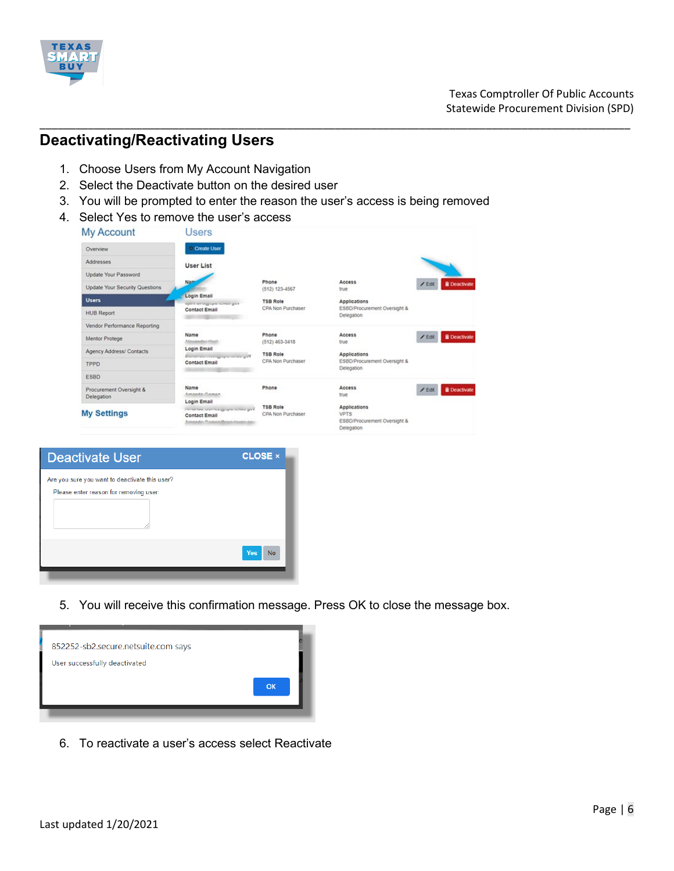

### **Deactivating/Reactivating Users**

- 1. Choose Users from My Account Navigation
- 2. Select the Deactivate button on the desired user
- 3. You will be prompted to enter the reason the user's access is being removed

\_\_\_\_\_\_\_\_\_\_\_\_\_\_\_\_\_\_\_\_\_\_\_\_\_\_\_\_\_\_\_\_\_\_\_\_\_\_\_\_\_\_\_\_\_\_\_\_\_\_\_\_\_\_\_\_\_\_\_\_\_\_\_\_\_\_\_\_\_\_\_\_\_\_\_\_\_\_\_\_\_\_\_\_\_\_\_\_\_\_\_\_\_\_\_\_\_\_

4. Select Yes to remove the user's access

| <b>My Account</b>                     | Users                                                                                                  |                                      |                                                                                  |                                 |
|---------------------------------------|--------------------------------------------------------------------------------------------------------|--------------------------------------|----------------------------------------------------------------------------------|---------------------------------|
| Overview                              | Create User                                                                                            |                                      |                                                                                  |                                 |
| Addresses                             | <b>User List</b>                                                                                       |                                      |                                                                                  |                                 |
| <b>Update Your Password</b>           |                                                                                                        |                                      |                                                                                  |                                 |
| <b>Update Your Security Questions</b> | Nam                                                                                                    | Phone<br>$(512) 123 - 4567$          | Access<br>true                                                                   | $E$ dit<br><b>B</b> Deactivate  |
| <b>Users</b>                          | Login Email<br>signification single plans counsely grow.                                               | <b>TSB Role</b>                      | <b>Applications</b>                                                              |                                 |
| <b>HUB Report</b>                     | <b>Contact Email</b>                                                                                   | CPA Non Purchaser                    | ESBD/Procurement Oversight &<br>Delegation                                       |                                 |
| Vendor Performance Reporting          |                                                                                                        |                                      |                                                                                  |                                 |
| Mentor Protege                        | Name<br>A Annapolis Adapt                                                                              | Phone<br>$(512)$ 463-3418            | <b>Access</b><br>true                                                            | <b>B</b> Deactivate<br>$/$ Edit |
| Agency Address/ Contacts              | Login Email                                                                                            | <b>TSB Role</b>                      | <b>Applications</b>                                                              |                                 |
| TPPD                                  | Station and the company of the station of M<br><b>Contact Email</b>                                    | CPA Non Purchaser                    | ESBD/Procurement Oversight &<br>Delegation                                       |                                 |
| <b>ESBD</b>                           |                                                                                                        |                                      |                                                                                  |                                 |
| Procurement Oversight &               | Name<br>Amanda Caman                                                                                   | Phone                                | <b>Access</b><br>true                                                            | <b>B</b> Deactivate<br>$/$ Edit |
| Delegation                            | Login Email                                                                                            |                                      |                                                                                  |                                 |
| <b>My Settings</b>                    | nementes, onn maggioperationes, god<br><b>Contact Email</b><br>Associate the control and Associate and | <b>TSB Role</b><br>CPA Non Purchaser | <b>Applications</b><br><b>VPTS</b><br>ESBD/Procurement Oversight &<br>Delegation |                                 |

| <b>Deactivate User</b>                                                                   | <b>CLOSE ×</b>   |
|------------------------------------------------------------------------------------------|------------------|
| Are you sure you want to deactivate this user?<br>Please enter reason for removing user: |                  |
|                                                                                          | Yes<br><b>No</b> |

5. You will receive this confirmation message. Press OK to close the message box.



6. To reactivate a user's access select Reactivate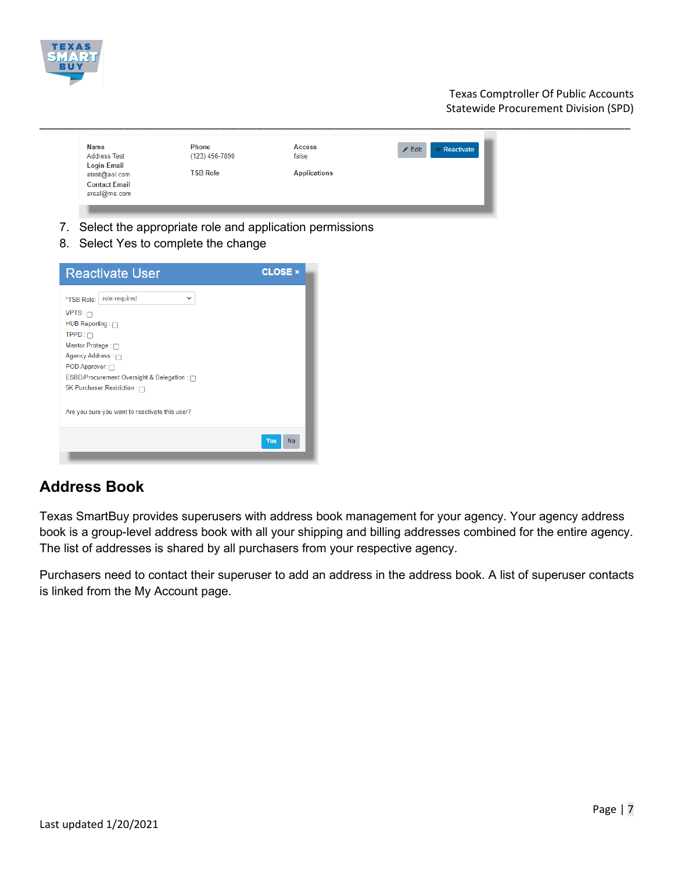

Texas Comptroller Of Public Accounts Statewide Procurement Division (SPD)

\_\_\_\_\_\_\_\_\_\_\_\_\_\_\_\_\_\_\_\_\_\_\_\_\_\_\_\_\_\_\_\_\_\_\_\_\_\_\_\_\_\_\_\_\_\_\_\_\_\_\_\_\_\_\_\_\_\_\_\_\_\_\_\_\_\_\_\_\_\_\_\_\_\_\_\_\_\_\_\_\_\_\_\_\_\_\_\_\_\_\_\_\_\_\_\_\_\_

- 7. Select the appropriate role and application permissions
- 8. Select Yes to complete the change

| <b>Reactivate User</b>                                                                                                                                                                                                                        | <b>CLOSE x</b> |
|-----------------------------------------------------------------------------------------------------------------------------------------------------------------------------------------------------------------------------------------------|----------------|
| role required<br>$\checkmark$<br>*TSB Role:<br>$VPTS: \Box$<br>HUB Reporting: n<br>$TPPD: \Box$<br>Mentor Protege : ∩<br>Agency Address : n<br>POD Approver: n<br>ESBD/Procurement Oversight & Delegation : 0<br>5K Purchaser Restriction : ∩ |                |
| Are you sure you want to reactivate this user?                                                                                                                                                                                                |                |
|                                                                                                                                                                                                                                               | Yes<br>No      |

### **Address Book**

Texas SmartBuy provides superusers with address book management for your agency. Your agency address book is a group-level address book with all your shipping and billing addresses combined for the entire agency. The list of addresses is shared by all purchasers from your respective agency.

Purchasers need to contact their superuser to add an address in the address book. A list of superuser contacts is linked from the My Account page.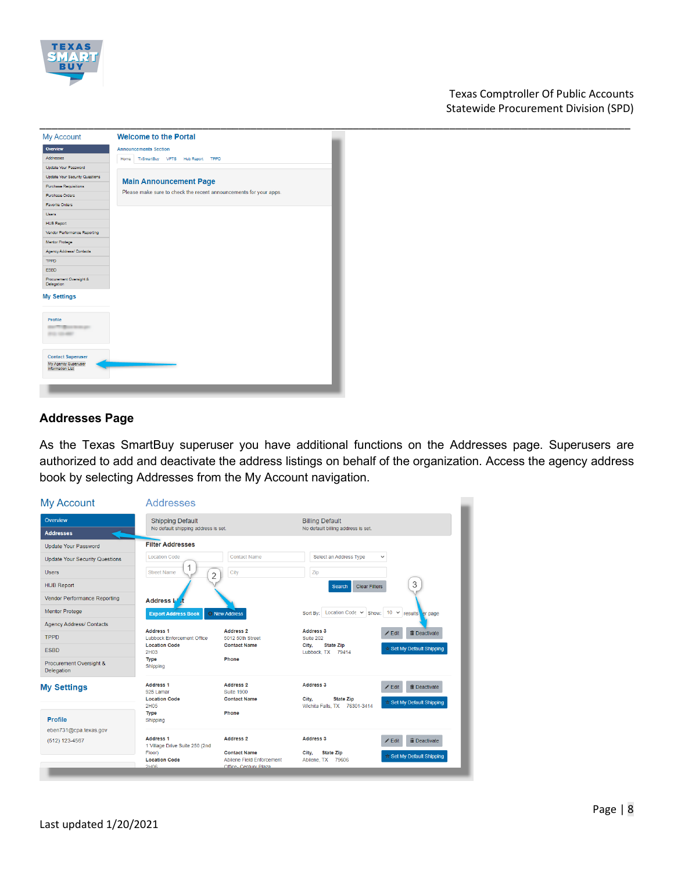

### Texas Comptroller Of Public Accounts Statewide Procurement Division (SPD)



### **Addresses Page**

As the Texas SmartBuy superuser you have additional functions on the Addresses page. Superusers are authorized to add and deactivate the address listings on behalf of the organization. Access the agency address book by selecting Addresses from the My Account navigation.

| <b>My Account</b>                            | <b>Addresses</b>                                      |                                                                           |                                                     |                                      |  |
|----------------------------------------------|-------------------------------------------------------|---------------------------------------------------------------------------|-----------------------------------------------------|--------------------------------------|--|
| Overview                                     | <b>Shipping Default</b>                               |                                                                           | <b>Billing Default</b>                              |                                      |  |
| <b>Addresses</b>                             | No default shipping address is set.                   |                                                                           | No default billing address is set.                  |                                      |  |
| <b>Update Your Password</b>                  | <b>Filter Addresses</b>                               |                                                                           |                                                     |                                      |  |
| <b>Update Your Security Questions</b>        | <b>Location Code</b>                                  | <b>Contact Name</b>                                                       | Select an Address Type                              | $\checkmark$                         |  |
| <b>Users</b>                                 | <b>Street Name</b><br>$\overline{2}$                  | City                                                                      | Zip                                                 |                                      |  |
| <b>HUB Report</b>                            |                                                       |                                                                           | <b>Clear Filters</b><br><b>Search</b>               | 3                                    |  |
| Vendor Performance Reporting                 | <b>Address M</b>                                      |                                                                           |                                                     |                                      |  |
| <b>Mentor Protege</b>                        | <b>Export Address Book</b>                            | <sup>©</sup> New Address                                                  | Sort By: Location Code ↓ Show: 10 ↓ results er page |                                      |  |
| <b>Agency Address/ Contacts</b>              |                                                       |                                                                           |                                                     |                                      |  |
| <b>TPPD</b>                                  | <b>Address 1</b><br><b>Lubbock Enforcement Office</b> | <b>Address 2</b><br>5012 50th Street                                      | <b>Address 3</b><br>Suite 202                       | <b>m</b> Deactivate<br>$\angle$ Edit |  |
| <b>ESBD</b>                                  | <b>Location Code</b><br>2H <sub>03</sub>              | <b>Contact Name</b>                                                       | <b>State Zip</b><br>City,<br>Lubbock, TX 79414      | ☆ Set My Default Shipping            |  |
| Procurement Oversight &<br><b>Delegation</b> | <b>Type</b><br>Shipping                               | Phone                                                                     |                                                     |                                      |  |
| <b>My Settings</b>                           | <b>Address 1</b><br>925 Lamar                         | <b>Address 2</b><br><b>Suite 1900</b>                                     | <b>Address 3</b>                                    | <b>iii</b> Deactivate<br>$Z$ Edit    |  |
|                                              | <b>Location Code</b>                                  | <b>Contact Name</b>                                                       | City.<br><b>State Zip</b>                           | $\star$ Set My Default Shipping      |  |
| <b>Profile</b>                               | 2H05<br>Type<br>Shipping                              | Phone                                                                     | Wichita Falls, TX 76301-3414                        |                                      |  |
| eben731@cpa.texas.gov<br>(512) 123-4567      | <b>Address 1</b><br>1 Village Drive Suite 250 (2nd    | Address <sub>2</sub>                                                      | <b>Address 3</b>                                    | <b>iii</b> Deactivate<br>$Z$ Edit    |  |
|                                              | Floor)<br><b>Location Code</b><br>2H06                | <b>Contact Name</b><br>Abilene Field Enforcement<br>Office- Century Plaza | City.<br><b>State Zip</b><br>Abilene, TX 79606      | <b>★ Set My Default Shipping</b>     |  |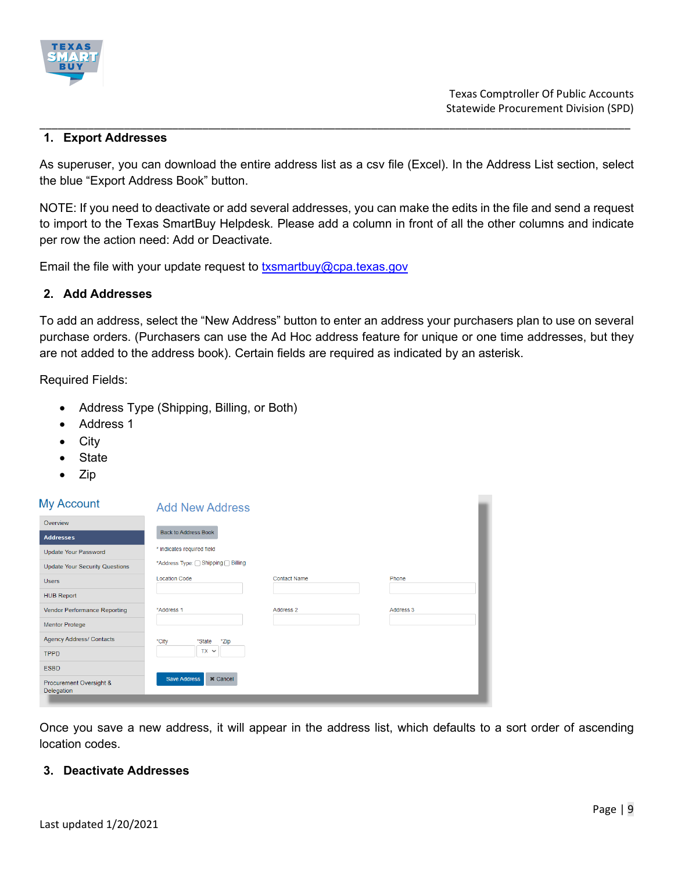

#### **1. Export Addresses**

As superuser, you can download the entire address list as a csv file (Excel). In the Address List section, select the blue "Export Address Book" button.

\_\_\_\_\_\_\_\_\_\_\_\_\_\_\_\_\_\_\_\_\_\_\_\_\_\_\_\_\_\_\_\_\_\_\_\_\_\_\_\_\_\_\_\_\_\_\_\_\_\_\_\_\_\_\_\_\_\_\_\_\_\_\_\_\_\_\_\_\_\_\_\_\_\_\_\_\_\_\_\_\_\_\_\_\_\_\_\_\_\_\_\_\_\_\_\_\_\_

NOTE: If you need to deactivate or add several addresses, you can make the edits in the file and send a request to import to the Texas SmartBuy Helpdesk. Please add a column in front of all the other columns and indicate per row the action need: Add or Deactivate.

Email the file with your update request to  $txs$  martbuy  $@cpa$  texas gov

### **2. Add Addresses**

To add an address, select the "New Address" button to enter an address your purchasers plan to use on several purchase orders. (Purchasers can use the Ad Hoc address feature for unique or one time addresses, but they are not added to the address book). Certain fields are required as indicated by an asterisk.

Required Fields:

- Address Type (Shipping, Billing, or Both)
- Address 1
- **City**
- **State**
- Zip

#### $M$

| iviy Account                          | <b>Add New Address</b>                 |                     |           |
|---------------------------------------|----------------------------------------|---------------------|-----------|
| Overview                              |                                        |                     |           |
| <b>Addresses</b>                      | <b>Back to Address Book</b>            |                     |           |
| <b>Update Your Password</b>           | * indicates required field             |                     |           |
| <b>Update Your Security Questions</b> | *Address Type: Shipping Silling        |                     |           |
| <b>Users</b>                          | <b>Location Code</b>                   | <b>Contact Name</b> | Phone     |
| <b>HUB Report</b>                     |                                        |                     |           |
| <b>Vendor Performance Reporting</b>   | *Address 1                             | Address 2           | Address 3 |
| <b>Mentor Protege</b>                 |                                        |                     |           |
| <b>Agency Address/ Contacts</b>       | *City<br>*State<br>*Zip                |                     |           |
| <b>TPPD</b>                           | TX V                                   |                     |           |
| <b>ESBD</b>                           |                                        |                     |           |
| Procurement Oversight &<br>Delegation | <b>Save Address</b><br><b>x</b> Cancel |                     |           |

Once you save a new address, it will appear in the address list, which defaults to a sort order of ascending location codes.

### **3. Deactivate Addresses**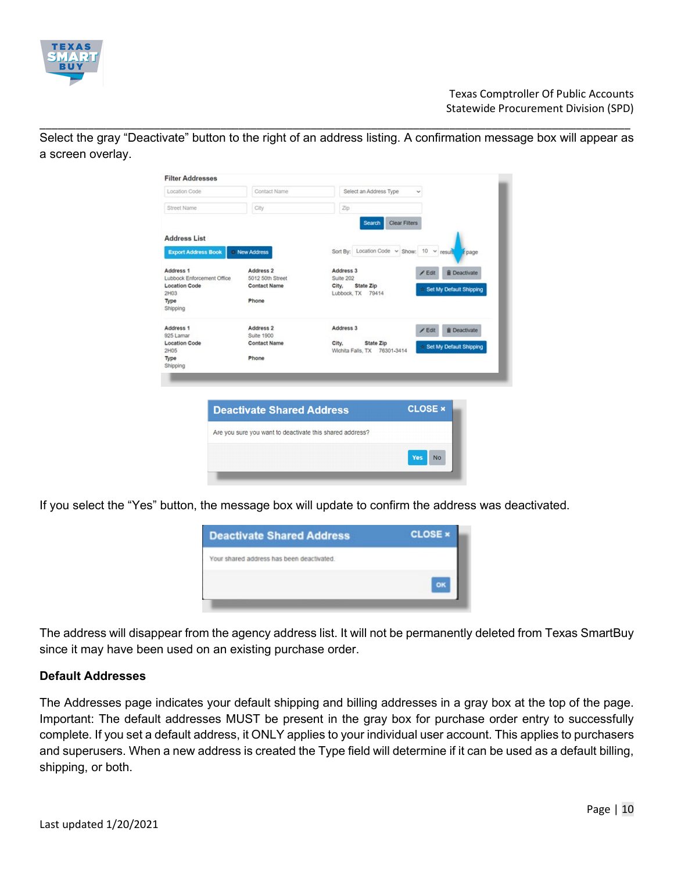

Select the gray "Deactivate" button to the right of an address listing. A confirmation message box will appear as a screen overlay.

\_\_\_\_\_\_\_\_\_\_\_\_\_\_\_\_\_\_\_\_\_\_\_\_\_\_\_\_\_\_\_\_\_\_\_\_\_\_\_\_\_\_\_\_\_\_\_\_\_\_\_\_\_\_\_\_\_\_\_\_\_\_\_\_\_\_\_\_\_\_\_\_\_\_\_\_\_\_\_\_\_\_\_\_\_\_\_\_\_\_\_\_\_\_\_\_\_\_

| <b>Filter Addresses</b>                            |                                                          |                                                                               |
|----------------------------------------------------|----------------------------------------------------------|-------------------------------------------------------------------------------|
| Location Code                                      | Contact Name                                             | Select an Address Type                                                        |
| Street Name                                        | City                                                     | Zip                                                                           |
|                                                    |                                                          | <b>Clear Filters</b><br>Search                                                |
| <b>Address List</b>                                |                                                          |                                                                               |
| <b>Export Address Book</b>                         | <b>C</b> New Address                                     | Sort By: Location Code v Show: 10 v result<br>r page                          |
| Address <sub>1</sub><br>Lubbock Enforcement Office | Address 2<br>5012 50th Street                            | Address 3<br><b><i>i</i></b> Deactivate<br>Edit<br>Suite 202                  |
| <b>Location Code</b><br>2H03                       | <b>Contact Name</b>                                      | State Zip<br>City,<br>Set My Default Shipping<br>Lubbock, TX 79414            |
| Type<br>Shipping                                   | Phone                                                    |                                                                               |
| Address 1<br>925 Lamar                             | Address 2<br>Suite 1900                                  | Address 3<br><b>B</b> Deactivate<br>/ Edit                                    |
| <b>Location Code</b><br>2H05                       | <b>Contact Name</b>                                      | State Zip<br>City.<br>Set My Default Shipping<br>Wichita Falls, TX 76301-3414 |
| Type<br>Shipping                                   | Phone                                                    |                                                                               |
|                                                    |                                                          |                                                                               |
|                                                    |                                                          |                                                                               |
|                                                    | <b>Deactivate Shared Address</b>                         | <b>CLOSE ×</b>                                                                |
|                                                    | Are you sure you want to deactivate this shared address? |                                                                               |
|                                                    |                                                          |                                                                               |

If you select the "Yes" button, the message box will update to confirm the address was deactivated.



The address will disappear from the agency address list. It will not be permanently deleted from Texas SmartBuy since it may have been used on an existing purchase order.

### **Default Addresses**

The Addresses page indicates your default shipping and billing addresses in a gray box at the top of the page. Important: The default addresses MUST be present in the gray box for purchase order entry to successfully complete. If you set a default address, it ONLY applies to your individual user account. This applies to purchasers and superusers. When a new address is created the Type field will determine if it can be used as a default billing, shipping, or both.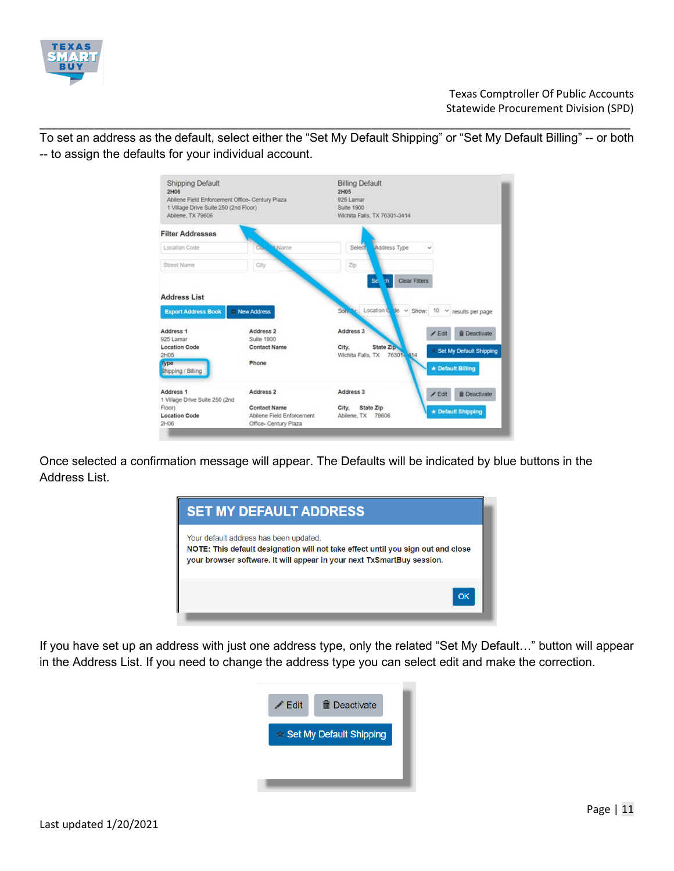

To set an address as the default, select either the "Set My Default Shipping" or "Set My Default Billing" -- or both -- to assign the defaults for your individual account.

\_\_\_\_\_\_\_\_\_\_\_\_\_\_\_\_\_\_\_\_\_\_\_\_\_\_\_\_\_\_\_\_\_\_\_\_\_\_\_\_\_\_\_\_\_\_\_\_\_\_\_\_\_\_\_\_\_\_\_\_\_\_\_\_\_\_\_\_\_\_\_\_\_\_\_\_\_\_\_\_\_\_\_\_\_\_\_\_\_\_\_\_\_\_\_\_\_\_



Once selected a confirmation message will appear. The Defaults will be indicated by blue buttons in the Address List.



If you have set up an address with just one address type, only the related "Set My Default…" button will appear in the Address List. If you need to change the address type you can select edit and make the correction.